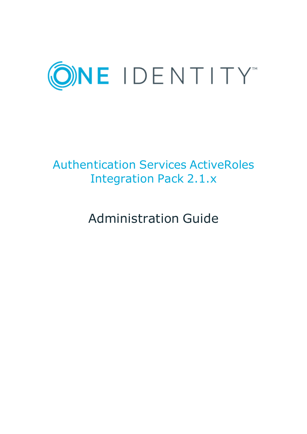

# Authentication Services ActiveRoles Integration Pack 2.1.x

Administration Guide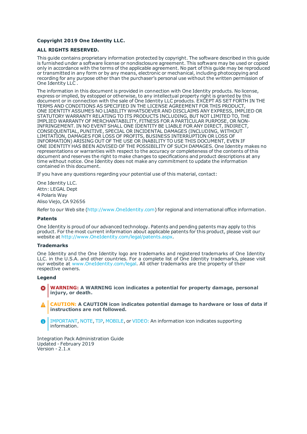#### **Copyright 2019 One Identity LLC.**

#### **ALL RIGHTS RESERVED.**

This guide contains proprietary information protected by copyright. The software described in this guide is furnished under a software license or nondisclosure agreement. This software may be used or copied only in accordance with the terms of the applicable agreement. No part of this guide may be reproduced or transmitted in any form or by any means, electronic or mechanical, including photocopying and recording for any purpose other than the purchaser's personal use without the written permission of One Identity LLC .

The information in this document is provided in connection with One Identity products. No license, express or implied, by estoppel or otherwise, to any intellectual property right is granted by this document or in connection with the sale of One Identity LLC products. EXCEPT AS SET FORTH IN THE TERMS AND CONDITIONS AS SPECIFIED IN THE LICENSE AGREEMENT FOR THIS PRODUCT, ONE IDENTITY ASSUMES NO LIABILITY WHATSOEVER AND DISCLAIMS ANY EXPRESS, IMPLIED OR STATUTORY WARRANTY RELATING TO ITS PRODUCTS INCLUDING, BUT NOT LIMITED TO, THE IMPLIED WARRANTY OF MERCHANTABILITY, FITNESS FOR A PARTICULAR PURPOSE, OR NON-INFRINGEMENT. IN NO EVENT SHALL ONE IDENTITY BE LIABLE FOR ANY DIRECT, INDIRECT, CONSEQUENTIAL, PUNITIVE, SPECIAL OR INCIDENTAL DAMAGES (INCLUDING, WITHOUT LIMITATION, DAMAGES FOR LOSS OF PROFITS, BUSINESS INTERRUPTION OR LOSS OF INFORMATION) ARISING OUT OF THE USE OR INABILITY TO USE THIS DOCUMENT, EVEN IF ONE IDENTITY HAS BEEN ADVISED OF THE POSSIBILITY OF SUCH DAMAGES. One Identity makes no representations or warranties with respect to the accuracy or completeness of the contents of this document and reserves the right to make changes to specifications and product descriptions at any time without notice. One Identity does not make any commitment to update the information contained in this document.

If you have any questions regarding your potential use of this material, contact:

One Identity LLC. Attn: LEGAL Dept 4 Polaris Way Aliso Viejo, CA 92656

Refer to our Web site ([http://www.OneIdentity.com](http://www.oneidentity.com/)) for regional and international office information.

#### **Patents**

One Identity is proud of our advanced technology. Patents and pending patents may apply to this product. For the most current information about applicable patents for this product, please visit our website at [http://www.OneIdentity.com/legal/patents.aspx](http://www.oneidentity.com/legal/patents.aspx).

#### **Trademarks**

One Identity and the One Identity logo are trademarks and registered trademarks of One Identity LLC. in the U.S.A. and other countries. For a complete list of One Identity trademarks, please visit our website at [www.OneIdentity.com/legal](http://www.oneidentity.com/legal). All other trademarks are the property of their respective owners.

#### **Legend**

- **WARNING: A WARNING icon indicates a potential for property damage, personal injury, or death.**
- **CAUTION: A CAUTION icon indicates potential damage to hardware or loss of data if instructions are not followed.**
- IMPORTANT, NOTE, TIP, MOBILE, or VIDEO: An information icon indicates supporting Œ information.

Integration Pack Administration Guide Updated - February 2019 Version - 2.1.x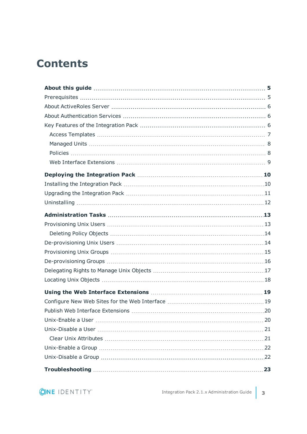### **Contents**

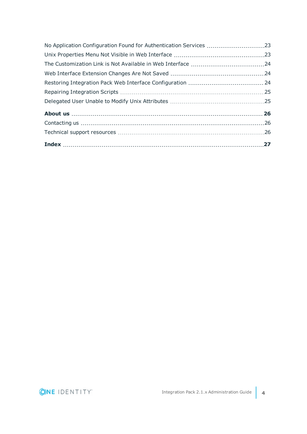| No Application Configuration Found for Authentication Services 23 |  |
|-------------------------------------------------------------------|--|
|                                                                   |  |
|                                                                   |  |
|                                                                   |  |
|                                                                   |  |
|                                                                   |  |
|                                                                   |  |
|                                                                   |  |
|                                                                   |  |
|                                                                   |  |
|                                                                   |  |

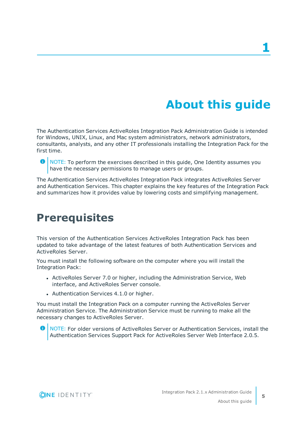# **About this guide**

<span id="page-4-0"></span>The Authentication Services ActiveRoles Integration Pack Administration Guide is intended for Windows, UNIX, Linux, and Mac system administrators, network administrators, consultants, analysts, and any other IT professionals installing the Integration Pack for the first time.

**O** NOTE: To perform the exercises described in this guide, One Identity assumes you have the necessary permissions to manage users or groups.

The Authentication Services ActiveRoles Integration Pack integrates ActiveRoles Server and Authentication Services. This chapter explains the key features of the Integration Pack and summarizes how it provides value by lowering costs and simplifying management.

### <span id="page-4-1"></span>**Prerequisites**

This version of the Authentication Services ActiveRoles Integration Pack has been updated to take advantage of the latest features of both Authentication Services and ActiveRoles Server.

You must install the following software on the computer where you will install the Integration Pack:

- ActiveRoles Server 7.0 or higher, including the Administration Service, Web interface, and ActiveRoles Server console.
- Authentication Services 4.1.0 or higher.

You must install the Integration Pack on a computer running the ActiveRoles Server Administration Service. The Administration Service must be running to make all the necessary changes to ActiveRoles Server.

Œ NOTE: For older versions of ActiveRoles Server or Authentication Services, install the Authentication Services Support Pack for ActiveRoles Server Web Interface 2.0.5.

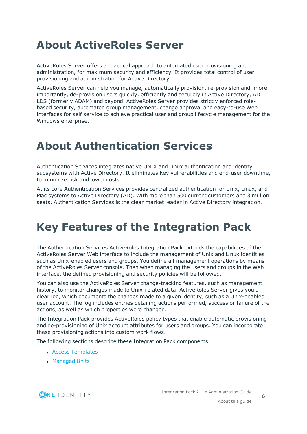### <span id="page-5-0"></span>**About ActiveRoles Server**

ActiveRoles Server offers a practical approach to automated user provisioning and administration, for maximum security and efficiency. It provides total control of user provisioning and administration for Active Directory.

ActiveRoles Server can help you manage, automatically provision, re-provision and, more importantly, de-provision users quickly, efficiently and securely in Active Directory, AD LDS (formerly ADAM) and beyond. ActiveRoles Server provides strictly enforced rolebased security, automated group management, change approval and easy-to-use Web interfaces for self service to achieve practical user and group lifecycle management for the Windows enterprise.

### <span id="page-5-1"></span>**About Authentication Services**

Authentication Services integrates native UNIX and Linux authentication and identity subsystems with Active Directory. It eliminates key vulnerabilities and end-user downtime, to minimize risk and lower costs.

At its core Authentication Services provides centralized authentication for Unix, Linux, and Mac systems to Active Directory (AD). With more than 500 current customers and 3 million seats, Authentication Services is the clear market leader in Active Directory integration.

## <span id="page-5-2"></span>**Key Features of the Integration Pack**

The Authentication Services ActiveRoles Integration Pack extends the capabilities of the ActiveRoles Server Web interface to include the management of Unix and Linux identities such as Unix-enabled users and groups. You define all management operations by means of the ActiveRoles Server console. Then when managing the users and groups in the Web interface, the defined provisioning and security policies will be followed.

You can also use the ActiveRoles Server change-tracking features, such as management history, to monitor changes made to Unix-related data. ActiveRoles Server gives you a clear log, which documents the changes made to a given identity, such as a Unix-enabled user account. The log includes entries detailing actions performed, success or failure of the actions, as well as which properties were changed.

The Integration Pack provides ActiveRoles policy types that enable automatic provisioning and de-provisioning of Unix account attributes for users and groups. You can incorporate these provisioning actions into custom work flows.

The following sections describe these Integration Pack components:

- **Access [Templates](#page-6-0)**
- [Managed](#page-7-0) Units

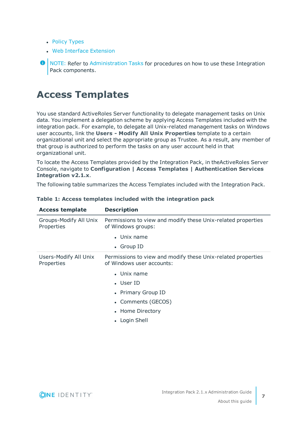- Policy [Types](#page-7-1)
- Web Interface [Extension](#page-8-0)

**O** NOTE: Refer to [Administration](#page-12-0) Tasks for procedures on how to use these Integration Pack components.

#### <span id="page-6-0"></span>**Access Templates**

You use standard ActiveRoles Server functionality to delegate management tasks on Unix data. You implement a delegation scheme by applying Access Templates included with the integration pack. For example, to delegate all Unix-related management tasks on Windows user accounts, link the **Users - Modify All Unix Properties** template to a certain organizational unit and select the appropriate group as Trustee. As a result, any member of that group is authorized to perform the tasks on any user account held in that organizational unit.

To locate the Access Templates provided by the Integration Pack, in theActiveRoles Server Console, navigate to **Configuration | Access Templates | Authentication Services Integration v2.1.x**.

The following table summarizes the Access Templates included with the Integration Pack.

| <b>Access template</b>               | <b>Description</b>                                                                        |
|--------------------------------------|-------------------------------------------------------------------------------------------|
| Groups-Modify All Unix<br>Properties | Permissions to view and modify these Unix-related properties<br>of Windows groups:        |
|                                      | $\bullet$ Unix name                                                                       |
|                                      | • Group ID                                                                                |
| Users-Modify All Unix<br>Properties  | Permissions to view and modify these Unix-related properties<br>of Windows user accounts: |
|                                      | $\bullet$ Unix name                                                                       |
|                                      | $\bullet$ User ID                                                                         |
|                                      | • Primary Group ID                                                                        |
|                                      | • Comments (GECOS)                                                                        |
|                                      | • Home Directory                                                                          |
|                                      | Login Shell                                                                               |
|                                      |                                                                                           |

#### **Table 1: Access templates included with the integration pack**

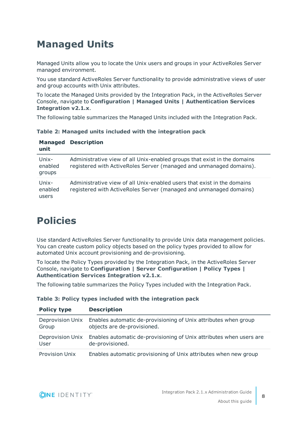### <span id="page-7-0"></span>**Managed Units**

Managed Units allow you to locate the Unix users and groups in your ActiveRoles Server managed environment.

You use standard ActiveRoles Server functionality to provide administrative views of user and group accounts with Unix attributes.

To locate the Managed Units provided by the Integration Pack, in the ActiveRoles Server Console, navigate to **Configuration | Managed Units | Authentication Services Integration v2.1.x**.

The following table summarizes the Managed Units included with the Integration Pack.

**Table 2: Managed units included with the integration pack**

| <b>Managed</b><br>unit     | <b>Description</b>                                                                                                                              |
|----------------------------|-------------------------------------------------------------------------------------------------------------------------------------------------|
| Unix-<br>enabled<br>groups | Administrative view of all Unix-enabled groups that exist in the domains<br>registered with ActiveRoles Server (managed and unmanaged domains). |
| Unix-<br>enabled<br>users  | Administrative view of all Unix-enabled users that exist in the domains<br>registered with ActiveRoles Server (managed and unmanaged domains)   |

### <span id="page-7-1"></span>**Policies**

Use standard ActiveRoles Server functionality to provide Unix data management policies. You can create custom policy objects based on the policy types provided to allow for automated Unix account provisioning and de-provisioning.

To locate the Policy Types provided by the Integration Pack, in the ActiveRoles Server Console, navigate to **Configuration | Server Configuration | Policy Types | Authentication Services Integration v2.1.x**.

The following table summarizes the Policy Types included with the Integration Pack.

| <b>Policy type</b>    | <b>Description</b>                                                  |
|-----------------------|---------------------------------------------------------------------|
| Deprovision Unix      | Enables automatic de-provisioning of Unix attributes when group     |
| Group                 | objects are de-provisioned.                                         |
| Deprovision Unix      | Enables automatic de-provisioning of Unix attributes when users are |
| User                  | de-provisioned.                                                     |
| <b>Provision Unix</b> | Enables automatic provisioning of Unix attributes when new group    |

**Table 3: Policy types included with the integration pack**

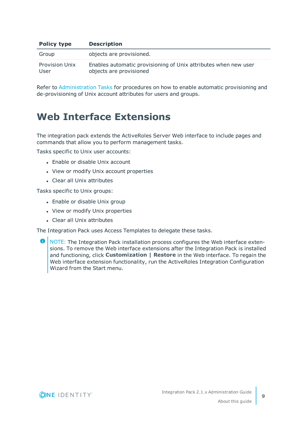| <b>Policy type</b>            | <b>Description</b>                                                                         |
|-------------------------------|--------------------------------------------------------------------------------------------|
| Group                         | objects are provisioned.                                                                   |
| <b>Provision Unix</b><br>User | Enables automatic provisioning of Unix attributes when new user<br>objects are provisioned |

Refer to [Administration](#page-12-0) Tasks for procedures on how to enable automatic provisioning and de-provisioning of Unix account attributes for users and groups.

#### <span id="page-8-0"></span>**Web Interface Extensions**

The integration pack extends the ActiveRoles Server Web interface to include pages and commands that allow you to perform management tasks.

Tasks specific to Unix user accounts:

- Enable or disable Unix account
- View or modify Unix account properties
- Clear all Unix attributes

Tasks specific to Unix groups:

- Enable or disable Unix group
- View or modify Unix properties
- Clear all Unix attributes

The Integration Pack uses Access Templates to delegate these tasks.

**O** NOTE: The Integration Pack installation process configures the Web interface extensions. To remove the Web interface extensions after the Integration Pack is installed and functioning, click **Customization | Restore** in the Web interface. To regain the Web interface extension functionality, run the ActiveRoles Integration Configuration Wizard from the Start menu.

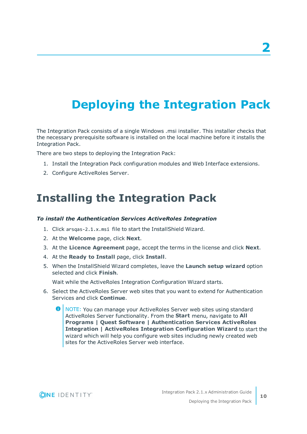# <span id="page-9-0"></span>**Deploying the Integration Pack**

The Integration Pack consists of a single Windows .msi installer. This installer checks that the necessary prerequisite software is installed on the local machine before it installs the Integration Pack.

There are two steps to deploying the Integration Pack:

- 1. Install the Integration Pack configuration modules and Web Interface extensions.
- <span id="page-9-1"></span>2. Configure ActiveRoles Server.

### **Installing the Integration Pack**

#### *To install the Authentication Services ActiveRoles Integration*

- 1. Click arsqas-2.1.x.msi file to start the InstallShield Wizard.
- 2. At the **Welcome** page, click **Next**.
- 3. At the **Licence Agreement** page, accept the terms in the license and click **Next**.
- 4. At the **Ready to Install** page, click **Install**.
- 5. When the InstallShield Wizard completes, leave the **Launch setup wizard** option selected and click **Finish**.

Wait while the ActiveRoles Integration Configuration Wizard starts.

- 6. Select the ActiveRoles Server web sites that you want to extend for Authentication Services and click **Continue**.
	- **O** NOTE: You can manage your ActiveRoles Server web sites using standard ActiveRoles Server functionality. From the **Start** menu, navigate to **All Programs | Quest Software | Authentication Services ActiveRoles Integration | ActiveRoles Integration Configuration Wizard** to start the wizard which will help you configure web sites including newly created web sites for the ActiveRoles Server web interface.

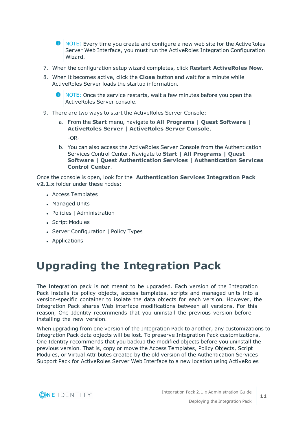**O** NOTE: Every time you create and configure a new web site for the ActiveRoles Server Web Interface, you must run the ActiveRoles Integration Configuration Wizard.

- 7. When the configuration setup wizard completes, click **Restart ActiveRoles Now**.
- 8. When it becomes active, click the **Close** button and wait for a minute while ActiveRoles Server loads the startup information.

**O** NOTE: Once the service restarts, wait a few minutes before you open the ActiveRoles Server console.

- 9. There are two ways to start the ActiveRoles Server Console:
	- a. From the **Start** menu, navigate to **All Programs | Quest Software | ActiveRoles Server | ActiveRoles Server Console**. -OR-
	- b. You can also access the ActiveRoles Server Console from the Authentication Services Control Center. Navigate to **Start | All Programs | Quest Software | Quest Authentication Services | Authentication Services Control Center**.

Once the console is open, look for the **Authentication Services Integration Pack v2.1.x** folder under these nodes:

- Access Templates
- Managed Units
- Policies | Administration
- Script Modules
- Server Configuration | Policy Types
- <span id="page-10-0"></span>• Applications

### **Upgrading the Integration Pack**

The Integration pack is not meant to be upgraded. Each version of the Integration Pack installs its policy objects, access templates, scripts and managed units into a version-specific container to isolate the data objects for each version. However, the Integration Pack shares Web interface modifications between all versions. For this reason, One Identity recommends that you uninstall the previous version before installing the new version.

When upgrading from one version of the Integration Pack to another, any customizations to Integration Pack data objects will be lost. To preserve Integration Pack customizations, One Identity recommends that you backup the modified objects before you uninstall the previous version. That is, copy or move the Access Templates, Policy Objects, Script Modules, or Virtual Attributes created by the old version of the Authentication Services Support Pack for ActiveRoles Server Web Interface to a new location using ActiveRoles

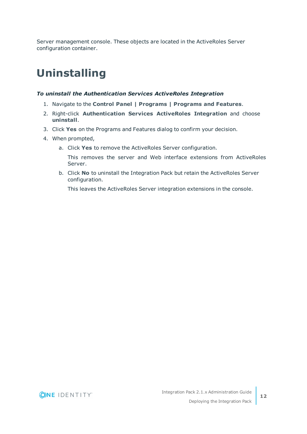Server management console. These objects are located in the ActiveRoles Server configuration container.

### <span id="page-11-0"></span>**Uninstalling**

#### *To uninstall the Authentication Services ActiveRoles Integration*

- 1. Navigate to the **Control Panel | Programs | Programs and Features**.
- 2. Right-click **Authentication Services ActiveRoles Integration** and choose **uninstall**.
- 3. Click **Yes** on the Programs and Features dialog to confirm your decision.
- 4. When prompted,
	- a. Click **Yes** to remove the ActiveRoles Server configuration.
		- This removes the server and Web interface extensions from ActiveRoles Server.
	- b. Click **No** to uninstall the Integration Pack but retain the ActiveRoles Server configuration.

This leaves the ActiveRoles Server integration extensions in the console.

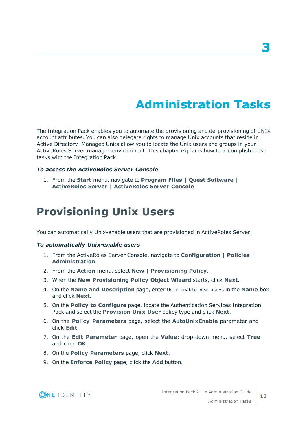# **Administration Tasks**

<span id="page-12-0"></span>The Integration Pack enables you to automate the provisioning and de-provisioning of UNIX account attributes. You can also delegate rights to manage Unix accounts that reside in Active Directory. Managed Units allow you to locate the Unix users and groups in your ActiveRoles Server managed environment. This chapter explains how to accomplish these tasks with the Integration Pack.

#### *To access the ActiveRoles Server Console*

1. From the **Start** menu, navigate to **Program Files | Quest Software | ActiveRoles Server | ActiveRoles Server Console**.

#### <span id="page-12-1"></span>**Provisioning Unix Users**

You can automatically Unix-enable users that are provisioned in ActiveRoles Server.

#### *To automatically Unix-enable users*

- 1. From the ActiveRoles Server Console, navigate to **Configuration | Policies | Administration**.
- 2. From the **Action** menu, select **New | Provisioning Policy**.
- 3. When the **New Provisioning Policy Object Wizard** starts, click **Next**.
- 4. On the **Name and Description** page, enter Unix-enable new users in the **Name** box and click **Next**.
- 5. On the **Policy to Configure** page, locate the Authentication Services Integration Pack and select the **Provision Unix User** policy type and click **Next**.
- 6. On the **Policy Parameters** page, select the **AutoUnixEnable** parameter and click **Edit**.
- 7. On the **Edit Parameter** page, open the **Value:** drop-down menu, select **True** and click **OK**.
- 8. On the **Policy Parameters** page, click **Next**.
- 9. On the **Enforce Policy** page, click the **Add** button.

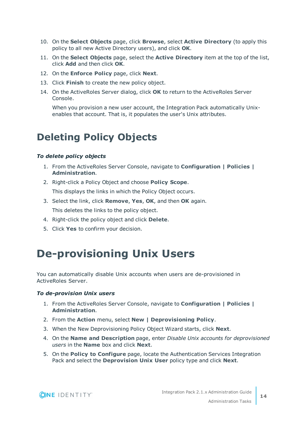- 10. On the **Select Objects** page, click **Browse**, select **Active Directory** (to apply this policy to all new Active Directory users), and click **OK**.
- 11. On the **Select Objects** page, select the **Active Directory** item at the top of the list, click **Add** and then click **OK**.
- 12. On the **Enforce Policy** page, click **Next**.
- 13. Click **Finish** to create the new policy object.
- 14. On the ActiveRoles Server dialog, click **OK** to return to the ActiveRoles Server Console.

When you provision a new user account, the Integration Pack automatically Unixenables that account. That is, it populates the user's Unix attributes.

### <span id="page-13-0"></span>**Deleting Policy Objects**

#### *To delete policy objects*

- 1. From the ActiveRoles Server Console, navigate to **Configuration | Policies | Administration**.
- 2. Right-click a Policy Object and choose **Policy Scope**. This displays the links in which the Policy Object occurs.
- 3. Select the link, click **Remove**, **Yes**, **OK**, and then **OK** again. This deletes the links to the policy object.
- 4. Right-click the policy object and click **Delete**.
- <span id="page-13-1"></span>5. Click **Yes** to confirm your decision.

### **De-provisioning Unix Users**

You can automatically disable Unix accounts when users are de-provisioned in ActiveRoles Server.

#### *To de-provision Unix users*

- 1. From the ActiveRoles Server Console, navigate to **Configuration | Policies | Administration**.
- 2. From the **Action** menu, select **New | Deprovisioning Policy**.
- 3. When the New Deprovisioning Policy Object Wizard starts, click **Next**.
- 4. On the **Name and Description** page, enter *Disable Unix accounts for deprovisioned users* in the **Name** box and click **Next**.
- 5. On the **Policy to Configure** page, locate the Authentication Services Integration Pack and select the **Deprovision Unix User** policy type and click **Next**.

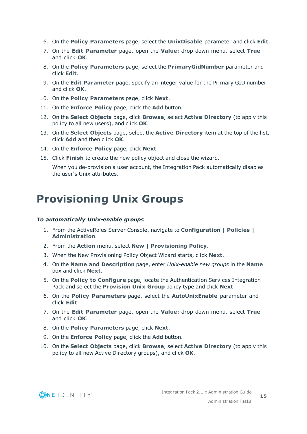- 6. On the **Policy Parameters** page, select the **UnixDisable** parameter and click **Edit**.
- 7. On the **Edit Parameter** page, open the **Value:** drop-down menu, select **True** and click **OK**.
- 8. On the **Policy Parameters** page, select the **PrimaryGidNumber** parameter and click **Edit**.
- 9. On the **Edit Parameter** page, specify an integer value for the Primary GID number and click **OK**.
- 10. On the **Policy Parameters** page, click **Next**.
- 11. On the **Enforce Policy** page, click the **Add** button.
- 12. On the **Select Objects** page, click **Browse**, select **Active Directory** (to apply this policy to all new users), and click **OK**.
- 13. On the **Select Objects** page, select the **Active Directory** item at the top of the list, click **Add** and then click **OK**.
- 14. On the **Enforce Policy** page, click **Next**.
- 15. Click **Finish** to create the new policy object and close the wizard.

When you de-provision a user account, the Integration Pack automatically disables the user's Unix attributes.

### <span id="page-14-0"></span>**Provisioning Unix Groups**

#### *To automatically Unix-enable groups*

- 1. From the ActiveRoles Server Console, navigate to **Configuration | Policies | Administration**.
- 2. From the **Action** menu, select **New | Provisioning Policy**.
- 3. When the New Provisioning Policy Object Wizard starts, click **Next**.
- 4. On the **Name and Description** page, enter *Unix-enable new groups* in the **Name** box and click **Next**.
- 5. On the **Policy to Configure** page, locate the Authentication Services Integration Pack and select the **Provision Unix Group** policy type and click **Next**.
- 6. On the **Policy Parameters** page, select the **AutoUnixEnable** parameter and click **Edit**.
- 7. On the **Edit Parameter** page, open the **Value:** drop-down menu, select **True** and click **OK**.
- 8. On the **Policy Parameters** page, click **Next**.
- 9. On the **Enforce Policy** page, click the **Add** button.
- 10. On the **Select Objects** page, click **Browse**, select **Active Directory** (to apply this policy to all new Active Directory groups), and click **OK**.

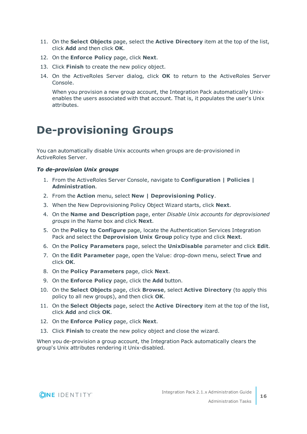- 11. On the **Select Objects** page, select the **Active Directory** item at the top of the list, click **Add** and then click **OK**.
- 12. On the **Enforce Policy** page, click **Next**.
- 13. Click **Finish** to create the new policy object.
- 14. On the ActiveRoles Server dialog, click **OK** to return to the ActiveRoles Server Console.

When you provision a new group account, the Integration Pack automatically Unixenables the users associated with that account. That is, it populates the user's Unix attributes.

### <span id="page-15-0"></span>**De-provisioning Groups**

You can automatically disable Unix accounts when groups are de-provisioned in ActiveRoles Server.

#### *To de-provision Unix groups*

- 1. From the ActiveRoles Server Console, navigate to **Configuration | Policies | Administration**.
- 2. From the **Action** menu, select **New | Deprovisioning Policy**.
- 3. When the New Deprovisioning Policy Object Wizard starts, click **Next**.
- 4. On the **Name and Description** page, enter *Disable Unix accounts for deprovisioned groups* in the Name box and click **Next**.
- 5. On the **Policy to Configure** page, locate the Authentication Services Integration Pack and select the **Deprovision Unix Group** policy type and click **Next**.
- 6. On the **Policy Parameters** page, select the **UnixDisable** parameter and click **Edit**.
- 7. On the **Edit Parameter** page, open the Value: drop-down menu, select **True** and click **OK**.
- 8. On the **Policy Parameters** page, click **Next**.
- 9. On the **Enforce Policy** page, click the **Add** button.
- 10. On the **Select Objects** page, click **Browse**, select **Active Directory** (to apply this policy to all new groups), and then click **OK**.
- 11. On the **Select Objects** page, select the **Active Directory** item at the top of the list, click **Add** and click **OK**.
- 12. On the **Enforce Policy** page, click **Next**.
- 13. Click **Finish** to create the new policy object and close the wizard.

When you de-provision a group account, the Integration Pack automatically clears the group's Unix attributes rendering it Unix-disabled.

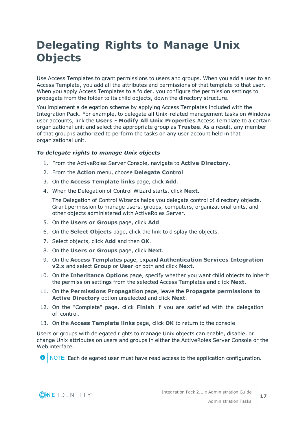## <span id="page-16-0"></span>**Delegating Rights to Manage Unix Objects**

Use Access Templates to grant permissions to users and groups. When you add a user to an Access Template, you add all the attributes and permissions of that template to that user. When you apply Access Templates to a folder, you configure the permission settings to propagate from the folder to its child objects, down the directory structure.

You implement a delegation scheme by applying Access Templates included with the Integration Pack. For example, to delegate all Unix-related management tasks on Windows user accounts, link the **Users - Modify All Unix Properties** Access Template to a certain organizational unit and select the appropriate group as **Trustee**. As a result, any member of that group is authorized to perform the tasks on any user account held in that organizational unit.

#### *To delegate rights to manage Unix objects*

- 1. From the ActiveRoles Server Console, navigate to **Active Directory**.
- 2. From the **Action** menu, choose **Delegate Control**
- 3. On the **Access Template links** page, click **Add**.
- 4. When the Delegation of Control Wizard starts, click **Next**.

The Delegation of Control Wizards helps you delegate control of directory objects. Grant permission to manage users, groups, computers, organizational units, and other objects administered with ActiveRoles Server.

- 5. On the **Users or Groups** page, click **Add**
- 6. On the **Select Objects** page, click the link to display the objects.
- 7. Select objects, click **Add** and then **OK**.
- 8. On the **Users or Groups** page, click **Next**.
- 9. On the **Access Templates** page, expand **Authentication Services Integration v2.x** and select **Group** or **User** or both and click **Next**.
- 10. On the **Inheritance Options** page, specify whether you want child objects to inherit the permission settings from the selected Access Templates and click **Next**.
- 11. On the **Permissions Propagation** page, leave the **Propagate permissions to Active Directory** option unselected and click **Next**.
- 12. On the "Complete" page, click **Finish** if you are satisfied with the delegation of control.
- 13. On the **Access Template links** page, click **OK** to return to the console

Users or groups with delegated rights to manage Unix objects can enable, disable, or change Unix attributes on users and groups in either the ActiveRoles Server Console or the Web interface.

**O** NOTE: Each delegated user must have read access to the application configuration.

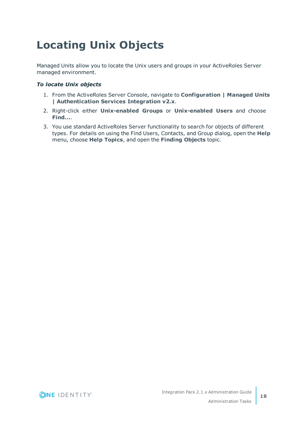# <span id="page-17-0"></span>**Locating Unix Objects**

Managed Units allow you to locate the Unix users and groups in your ActiveRoles Server managed environment.

#### *To locate Unix objects*

- 1. From the ActiveRoles Server Console, navigate to **Configuration | Managed Units | Authentication Services Integration v2.x**.
- 2. Right-click either **Unix-enabled Groups** or **Unix-enabled Users** and choose **Find...**.
- 3. You use standard ActiveRoles Server functionality to search for objects of different types. For details on using the Find Users, Contacts, and Group dialog, open the **Help** menu, choose **Help Topics**, and open the **Finding Objects** topic.

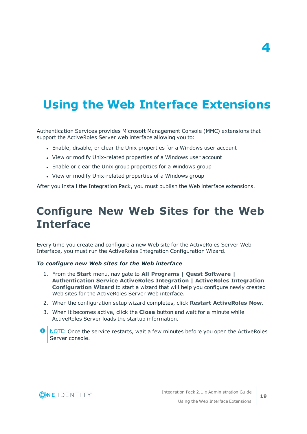# <span id="page-18-0"></span>**Using the Web Interface Extensions**

Authentication Services provides Microsoft Management Console (MMC) extensions that support the ActiveRoles Server web interface allowing you to:

- Enable, disable, or clear the Unix properties for a Windows user account
- View or modify Unix-related properties of a Windows user account
- Enable or clear the Unix group properties for a Windows group
- View or modify Unix-related properties of a Windows group

<span id="page-18-1"></span>After you install the Integration Pack, you must publish the Web interface extensions.

### **Configure New Web Sites for the Web Interface**

Every time you create and configure a new Web site for the ActiveRoles Server Web Interface, you must run the ActiveRoles Integration Configuration Wizard.

#### *To configure new Web sites for the Web interface*

- 1. From the **Start** menu, navigate to **All Programs | Quest Software | Authentication Service ActiveRoles Integration | ActiveRoles Integration Configuration Wizard** to start a wizard that will help you configure newly created Web sites for the ActiveRoles Server Web interface.
- 2. When the configuration setup wizard completes, click **Restart ActiveRoles Now**.
- 3. When it becomes active, click the **Close** button and wait for a minute while ActiveRoles Server loads the startup information.
- **O** NOTE: Once the service restarts, wait a few minutes before you open the ActiveRoles Server console.



**4**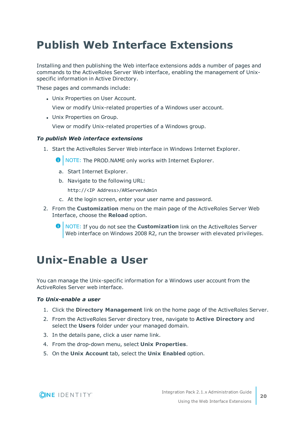### <span id="page-19-0"></span>**Publish Web Interface Extensions**

Installing and then publishing the Web interface extensions adds a number of pages and commands to the ActiveRoles Server Web interface, enabling the management of Unixspecific information in Active Directory.

These pages and commands include:

• Unix Properties on User Account.

View or modify Unix-related properties of a Windows user account.

• Unix Properties on Group.

View or modify Unix-related properties of a Windows group.

#### *To publish Web interface extensions*

1. Start the ActiveRoles Server Web interface in Windows Internet Explorer.

**O** NOTE: The PROD.NAME only works with Internet Explorer.

- a. Start Internet Explorer.
- b. Navigate to the following URL:

http://<IP Address>/ARServerAdmin

- c. At the login screen, enter your user name and password.
- 2. From the **Customization** menu on the main page of the ActiveRoles Server Web Interface, choose the **Reload** option.
	- NOTE: If you do not see the **Customization** link on the ActiveRoles Server Web interface on Windows 2008 R2, run the browser with elevated privileges.

### <span id="page-19-1"></span>**Unix-Enable a User**

You can manage the Unix-specific information for a Windows user account from the ActiveRoles Server web interface.

#### *To Unix-enable a user*

- 1. Click the **Directory Management** link on the home page of the ActiveRoles Server.
- 2. From the ActiveRoles Server directory tree, navigate to **Active Directory** and select the **Users** folder under your managed domain.
- 3. In the details pane, click a user name link.
- 4. From the drop-down menu, select **Unix Properties**.
- 5. On the **Unix Account** tab, select the **Unix Enabled** option.

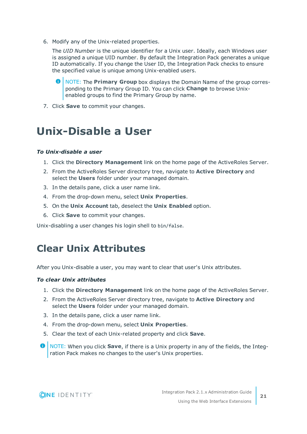6. Modify any of the Unix-related properties.

The *UID Number* is the unique identifier for a Unix user. Ideally, each Windows user is assigned a unique UID number. By default the Integration Pack generates a unique ID automatically. If you change the User ID, the Integration Pack checks to ensure the specified value is unique among Unix-enabled users.

- 0 NOTE: The **Primary Group** box displays the Domain Name of the group corresponding to the Primary Group ID. You can click **Change** to browse Unixenabled groups to find the Primary Group by name.
- <span id="page-20-0"></span>7. Click **Save** to commit your changes.

### **Unix-Disable a User**

#### *To Unix-disable a user*

- 1. Click the **Directory Management** link on the home page of the ActiveRoles Server.
- 2. From the ActiveRoles Server directory tree, navigate to **Active Directory** and select the **Users** folder under your managed domain.
- 3. In the details pane, click a user name link.
- 4. From the drop-down menu, select **Unix Properties**.
- 5. On the **Unix Account** tab, deselect the **Unix Enabled** option.
- 6. Click **Save** to commit your changes.

<span id="page-20-1"></span>Unix-disabling a user changes his login shell to bin/false.

#### **Clear Unix Attributes**

After you Unix-disable a user, you may want to clear that user's Unix attributes.

#### *To clear Unix attributes*

- 1. Click the **Directory Management** link on the home page of the ActiveRoles Server.
- 2. From the ActiveRoles Server directory tree, navigate to **Active Directory** and select the **Users** folder under your managed domain.
- 3. In the details pane, click a user name link.
- 4. From the drop-down menu, select **Unix Properties**.
- 5. Clear the text of each Unix-related property and click **Save**.
- **O** NOTE: When you click **Save**, if there is a Unix property in any of the fields, the Integration Pack makes no changes to the user's Unix properties.

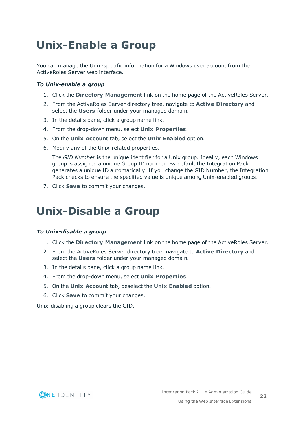# <span id="page-21-0"></span>**Unix-Enable a Group**

You can manage the Unix-specific information for a Windows user account from the ActiveRoles Server web interface.

#### *To Unix-enable a group*

- 1. Click the **Directory Management** link on the home page of the ActiveRoles Server.
- 2. From the ActiveRoles Server directory tree, navigate to **Active Directory** and select the **Users** folder under your managed domain.
- 3. In the details pane, click a group name link.
- 4. From the drop-down menu, select **Unix Properties**.
- 5. On the **Unix Account** tab, select the **Unix Enabled** option.
- 6. Modify any of the Unix-related properties.

The *GID Number* is the unique identifier for a Unix group. Ideally, each Windows group is assigned a unique Group ID number. By default the Integration Pack generates a unique ID automatically. If you change the GID Number, the Integration Pack checks to ensure the specified value is unique among Unix-enabled groups.

<span id="page-21-1"></span>7. Click **Save** to commit your changes.

### **Unix-Disable a Group**

#### *To Unix-disable a group*

- 1. Click the **Directory Management** link on the home page of the ActiveRoles Server.
- 2. From the ActiveRoles Server directory tree, navigate to **Active Directory** and select the **Users** folder under your managed domain.
- 3. In the details pane, click a group name link.
- 4. From the drop-down menu, select **Unix Properties**.
- 5. On the **Unix Account** tab, deselect the **Unix Enabled** option.
- 6. Click **Save** to commit your changes.

Unix-disabling a group clears the GID.



**22**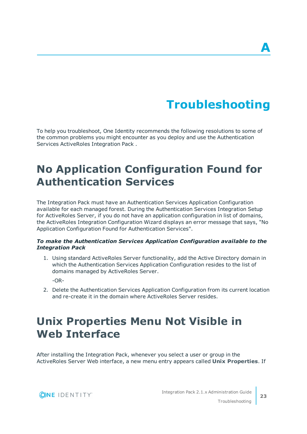# **Troubleshooting**

<span id="page-22-0"></span>To help you troubleshoot, One Identity recommends the following resolutions to some of the common problems you might encounter as you deploy and use the Authentication Services ActiveRoles Integration Pack .

### <span id="page-22-1"></span>**No Application Configuration Found for Authentication Services**

The Integration Pack must have an Authentication Services Application Configuration available for each managed forest. During the Authentication Services Integration Setup for ActiveRoles Server, if you do not have an application configuration in list of domains, the ActiveRoles Integration Configuration Wizard displays an error message that says, "No Application Configuration Found for Authentication Services".

#### *To make the Authentication Services Application Configuration available to the Integration Pack*

1. Using standard ActiveRoles Server functionality, add the Active Directory domain in which the Authentication Services Application Configuration resides to the list of domains managed by ActiveRoles Server.

-OR-

2. Delete the Authentication Services Application Configuration from its current location and re-create it in the domain where ActiveRoles Server resides.

## <span id="page-22-2"></span>**Unix Properties Menu Not Visible in Web Interface**

After installing the Integration Pack, whenever you select a user or group in the ActiveRoles Server Web interface, a new menu entry appears called **Unix Properties**. If

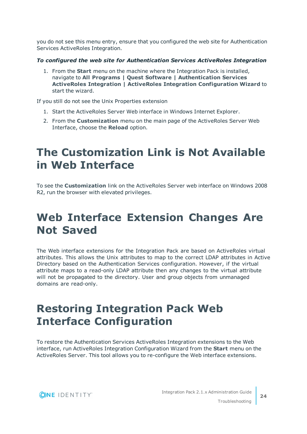you do not see this menu entry, ensure that you configured the web site for Authentication Services ActiveRoles Integration.

#### *To configured the web site for Authentication Services ActiveRoles Integration*

1. From the **Start** menu on the machine where the Integration Pack is installed, navigate to **All Programs | Quest Software | Authentication Services ActiveRoles Integration | ActiveRoles Integration Configuration Wizard** to start the wizard.

If you still do not see the Unix Properties extension

- 1. Start the ActiveRoles Server Web interface in Windows Internet Explorer.
- 2. From the **Customization** menu on the main page of the ActiveRoles Server Web Interface, choose the **Reload** option.

### <span id="page-23-0"></span>**The Customization Link is Not Available in Web Interface**

To see the **Customization** link on the ActiveRoles Server web interface on Windows 2008 R2, run the browser with elevated privileges.

### <span id="page-23-1"></span>**Web Interface Extension Changes Are Not Saved**

The Web interface extensions for the Integration Pack are based on ActiveRoles virtual attributes. This allows the Unix attributes to map to the correct LDAP attributes in Active Directory based on the Authentication Services configuration. However, if the virtual attribute maps to a read-only LDAP attribute then any changes to the virtual attribute will not be propagated to the directory. User and group objects from unmanaged domains are read-only.

### <span id="page-23-2"></span>**Restoring Integration Pack Web Interface Configuration**

To restore the Authentication Services ActiveRoles Integration extensions to the Web interface, run ActiveRoles Integration Configuration Wizard from the **Start** menu on the ActiveRoles Server. This tool allows you to re-configure the Web interface extensions.

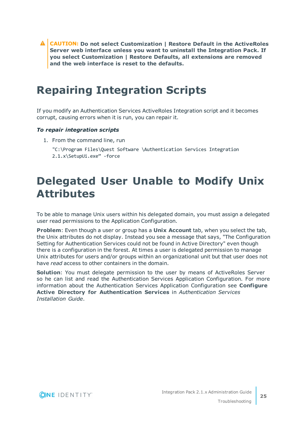**CAUTION: Do not select Customization | Restore Default in the ActiveRoles Server web interface unless you want to uninstall the Integration Pack. If you select Customization | Restore Defaults, all extensions are removed and the web interface is reset to the defaults.**

### <span id="page-24-0"></span>**Repairing Integration Scripts**

If you modify an Authentication Services ActiveRoles Integration script and it becomes corrupt, causing errors when it is run, you can repair it.

#### *To repair integration scripts*

- 1. From the command line, run
	- "C:\Program Files\Quest Software \Authentication Services Integration 2.1.x\SetupUi.exe" -force

### <span id="page-24-1"></span>**Delegated User Unable to Modify Unix Attributes**

To be able to manage Unix users within his delegated domain, you must assign a delegated user read permissions to the Application Configuration.

**Problem**: Even though a user or group has a **Unix Account** tab, when you select the tab, the Unix attributes do not display. Instead you see a message that says, "The Configuration Setting for Authentication Services could not be found in Active Directory" even though there is a configuration in the forest. At times a user is delegated permission to manage Unix attributes for users and/or groups within an organizational unit but that user does not have *read* access to other containers in the domain.

**Solution**: You must delegate permission to the user by means of ActiveRoles Server so he can list and read the Authentication Services Application Configuration. For more information about the Authentication Services Application Configuration see **Configure Active Directory for Authentication Services** in *Authentication Services Installation Guide*.

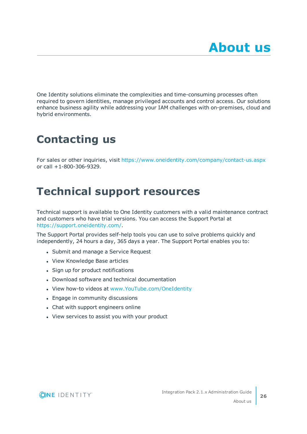<span id="page-25-0"></span>One Identity solutions eliminate the complexities and time-consuming processes often required to govern identities, manage privileged accounts and control access. Our solutions enhance business agility while addressing your IAM challenges with on-premises, cloud and hybrid environments.

# <span id="page-25-1"></span>**Contacting us**

For sales or other inquiries, visit <https://www.oneidentity.com/company/contact-us.aspx> or call +1-800-306-9329.

### <span id="page-25-2"></span>**Technical support resources**

Technical support is available to One Identity customers with a valid maintenance contract and customers who have trial versions. You can access the Support Portal at [https://support.oneidentity.com/.](https://support.oneidentity.com/)

The Support Portal provides self-help tools you can use to solve problems quickly and independently, 24 hours a day, 365 days a year. The Support Portal enables you to:

- Submit and manage a Service Request
- View Knowledge Base articles
- Sign up for product notifications
- Download software and technical documentation
- View how-to videos at [www.YouTube.com/OneIdentity](http://www.youtube.com/OneIdentity)
- Engage in community discussions
- Chat with support engineers online
- View services to assist you with your product

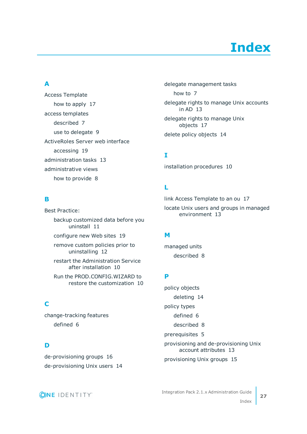# **Index**

#### <span id="page-26-0"></span>**A**

Access Template how to apply [17](#page-16-0) access templates described [7](#page-6-0) use to delegate [9](#page-8-0) ActiveRoles Server web interface accessing [19](#page-18-0) administration tasks [13](#page-12-0) administrative views how to provide [8](#page-7-0)

#### **B**

Best Practice: backup customized data before you uninstall [11](#page-10-0) configure new Web sites [19](#page-18-1) remove custom policies prior to uninstalling [12](#page-11-0) restart the Administration Service after installation [10](#page-9-1) Run the PROD.CONFIG.WIZARD to restore the customization [10](#page-9-1) **C** change-tracking features

**D**

de-provisioning groups [16](#page-15-0) de-provisioning Unix users [14](#page-13-1)

delegate management tasks how to [7](#page-6-0) delegate rights to manage Unix accounts in AD [13](#page-12-0) delegate rights to manage Unix objects [17](#page-16-0) delete policy objects [14](#page-13-0)

#### **I**

installation procedures [10](#page-9-0)

#### **L**

link Access Template to an ou [17](#page-16-0) locate Unix users and groups in managed environment [13](#page-12-0)

#### **M**

managed units described [8](#page-7-0)

#### **P**

policy objects deleting [14](#page-13-0) policy types defined [6](#page-5-2) described [8](#page-7-1) prerequisites [5](#page-4-1) provisioning and de-provisioning Unix account attributes [13](#page-12-0) provisioning Unix groups [15](#page-14-0)



defined [6](#page-5-2)

Integration Pack 2.1.x Administration Guide Index